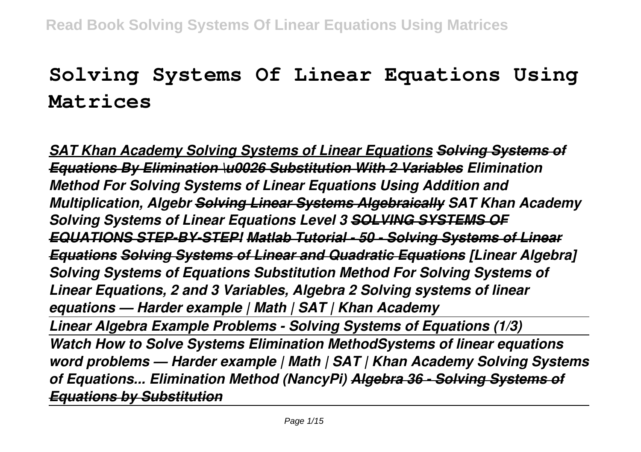# **Solving Systems Of Linear Equations Using Matrices**

*SAT Khan Academy Solving Systems of Linear Equations Solving Systems of Equations By Elimination \u0026 Substitution With 2 Variables Elimination Method For Solving Systems of Linear Equations Using Addition and Multiplication, Algebr Solving Linear Systems Algebraically SAT Khan Academy Solving Systems of Linear Equations Level 3 SOLVING SYSTEMS OF EQUATIONS STEP-BY-STEP! Matlab Tutorial - 50 - Solving Systems of Linear Equations Solving Systems of Linear and Quadratic Equations [Linear Algebra] Solving Systems of Equations Substitution Method For Solving Systems of Linear Equations, 2 and 3 Variables, Algebra 2 Solving systems of linear equations — Harder example | Math | SAT | Khan Academy Linear Algebra Example Problems - Solving Systems of Equations (1/3) Watch How to Solve Systems Elimination MethodSystems of linear equations word problems — Harder example | Math | SAT | Khan Academy Solving Systems of Equations... Elimination Method (NancyPi) Algebra 36 - Solving Systems of Equations by Substitution*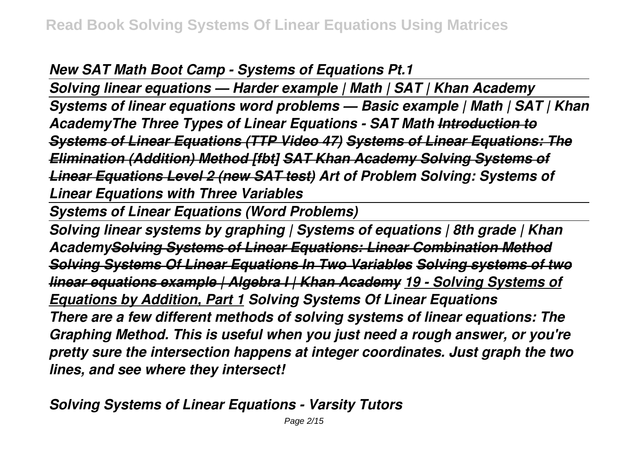*New SAT Math Boot Camp - Systems of Equations Pt.1*

*Solving linear equations — Harder example | Math | SAT | Khan Academy Systems of linear equations word problems — Basic example | Math | SAT | Khan AcademyThe Three Types of Linear Equations - SAT Math Introduction to Systems of Linear Equations (TTP Video 47) Systems of Linear Equations: The Elimination (Addition) Method [fbt] SAT Khan Academy Solving Systems of Linear Equations Level 2 (new SAT test) Art of Problem Solving: Systems of Linear Equations with Three Variables* 

*Systems of Linear Equations (Word Problems)*

*Solving linear systems by graphing | Systems of equations | 8th grade | Khan AcademySolving Systems of Linear Equations: Linear Combination Method Solving Systems Of Linear Equations In Two Variables Solving systems of two linear equations example | Algebra I | Khan Academy 19 - Solving Systems of Equations by Addition, Part 1 Solving Systems Of Linear Equations There are a few different methods of solving systems of linear equations: The Graphing Method. This is useful when you just need a rough answer, or you're pretty sure the intersection happens at integer coordinates. Just graph the two lines, and see where they intersect!*

*Solving Systems of Linear Equations - Varsity Tutors*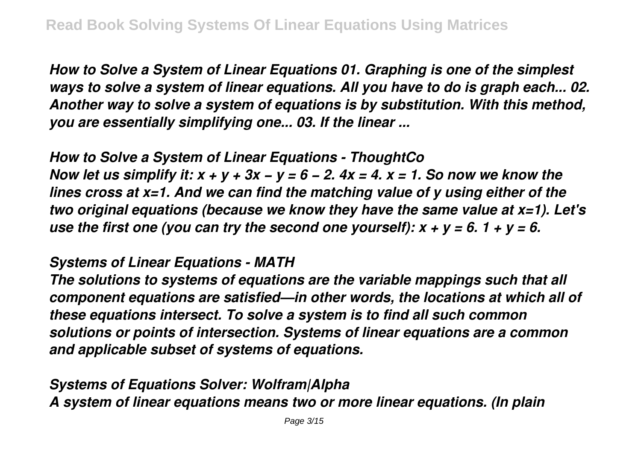*How to Solve a System of Linear Equations 01. Graphing is one of the simplest ways to solve a system of linear equations. All you have to do is graph each... 02. Another way to solve a system of equations is by substitution. With this method, you are essentially simplifying one... 03. If the linear ...*

*How to Solve a System of Linear Equations - ThoughtCo Now let us simplify it: x + y + 3x − y = 6 − 2. 4x = 4. x = 1. So now we know the lines cross at x=1. And we can find the matching value of y using either of the two original equations (because we know they have the same value at x=1). Let's use the first one (you can try the second one yourself):*  $x + y = 6$ *. 1 + y = 6.* 

#### *Systems of Linear Equations - MATH*

*The solutions to systems of equations are the variable mappings such that all component equations are satisfied—in other words, the locations at which all of these equations intersect. To solve a system is to find all such common solutions or points of intersection. Systems of linear equations are a common and applicable subset of systems of equations.*

*Systems of Equations Solver: Wolfram|Alpha A system of linear equations means two or more linear equations. (In plain*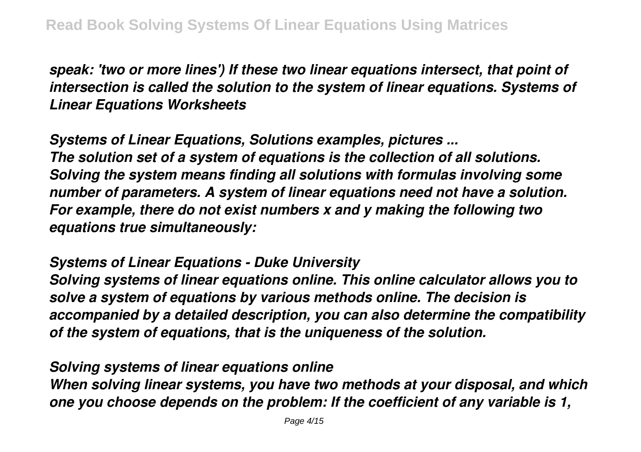*speak: 'two or more lines') If these two linear equations intersect, that point of intersection is called the solution to the system of linear equations. Systems of Linear Equations Worksheets*

*Systems of Linear Equations, Solutions examples, pictures ... The solution set of a system of equations is the collection of all solutions. Solving the system means finding all solutions with formulas involving some number of parameters. A system of linear equations need not have a solution. For example, there do not exist numbers x and y making the following two equations true simultaneously:*

#### *Systems of Linear Equations - Duke University*

*Solving systems of linear equations online. This online calculator allows you to solve a system of equations by various methods online. The decision is accompanied by a detailed description, you can also determine the compatibility of the system of equations, that is the uniqueness of the solution.*

#### *Solving systems of linear equations online*

*When solving linear systems, you have two methods at your disposal, and which one you choose depends on the problem: If the coefficient of any variable is 1,*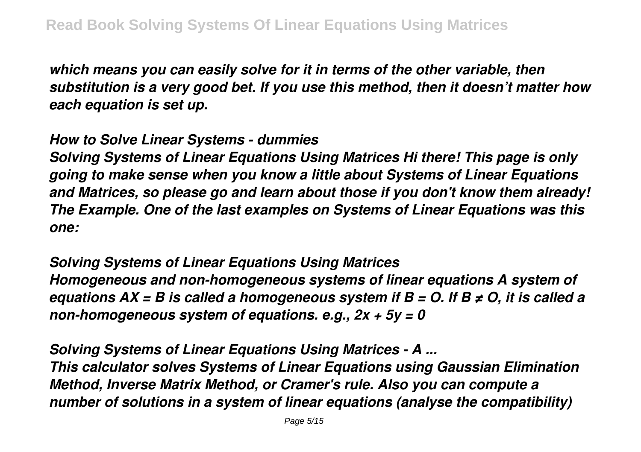*which means you can easily solve for it in terms of the other variable, then substitution is a very good bet. If you use this method, then it doesn't matter how each equation is set up.*

*How to Solve Linear Systems - dummies*

*Solving Systems of Linear Equations Using Matrices Hi there! This page is only going to make sense when you know a little about Systems of Linear Equations and Matrices, so please go and learn about those if you don't know them already! The Example. One of the last examples on Systems of Linear Equations was this one:*

*Solving Systems of Linear Equations Using Matrices Homogeneous and non-homogeneous systems of linear equations A system of equations AX = B is called a homogeneous system if B = O. If B ≠ O, it is called a non-homogeneous system of equations. e.g., 2x + 5y = 0*

*Solving Systems of Linear Equations Using Matrices - A ... This calculator solves Systems of Linear Equations using Gaussian Elimination Method, Inverse Matrix Method, or Cramer's rule. Also you can compute a number of solutions in a system of linear equations (analyse the compatibility)*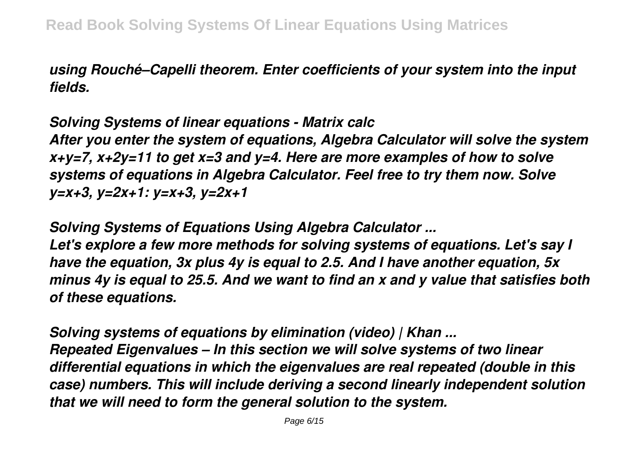*using Rouché–Capelli theorem. Enter coefficients of your system into the input fields.*

*Solving Systems of linear equations - Matrix calc*

*After you enter the system of equations, Algebra Calculator will solve the system x+y=7, x+2y=11 to get x=3 and y=4. Here are more examples of how to solve systems of equations in Algebra Calculator. Feel free to try them now. Solve y=x+3, y=2x+1: y=x+3, y=2x+1*

*Solving Systems of Equations Using Algebra Calculator ... Let's explore a few more methods for solving systems of equations. Let's say I have the equation, 3x plus 4y is equal to 2.5. And I have another equation, 5x minus 4y is equal to 25.5. And we want to find an x and y value that satisfies both*

*of these equations.*

*Solving systems of equations by elimination (video) | Khan ... Repeated Eigenvalues – In this section we will solve systems of two linear differential equations in which the eigenvalues are real repeated (double in this case) numbers. This will include deriving a second linearly independent solution that we will need to form the general solution to the system.*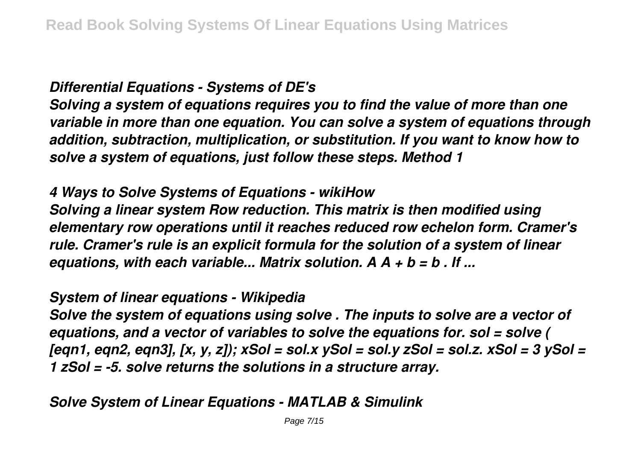## *Differential Equations - Systems of DE's*

*Solving a system of equations requires you to find the value of more than one variable in more than one equation. You can solve a system of equations through addition, subtraction, multiplication, or substitution. If you want to know how to solve a system of equations, just follow these steps. Method 1*

## *4 Ways to Solve Systems of Equations - wikiHow*

*Solving a linear system Row reduction. This matrix is then modified using elementary row operations until it reaches reduced row echelon form. Cramer's rule. Cramer's rule is an explicit formula for the solution of a system of linear equations, with each variable... Matrix solution. A A + b = b . If ...*

#### *System of linear equations - Wikipedia*

*Solve the system of equations using solve . The inputs to solve are a vector of equations, and a vector of variables to solve the equations for. sol = solve ( [eqn1, eqn2, eqn3], [x, y, z]); xSol = sol.x ySol = sol.y zSol = sol.z. xSol = 3 ySol = 1 zSol = -5. solve returns the solutions in a structure array.*

# *Solve System of Linear Equations - MATLAB & Simulink*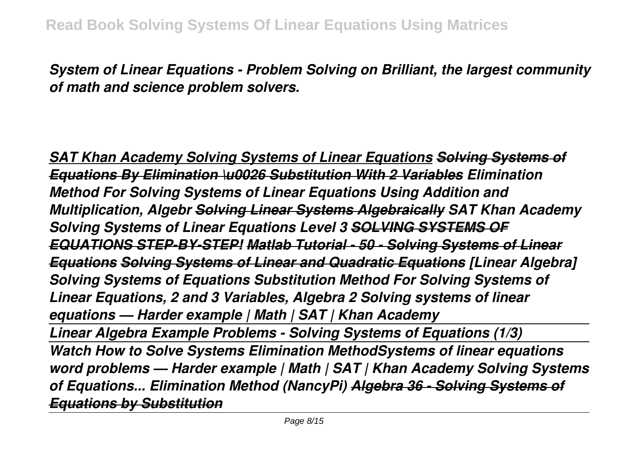*System of Linear Equations - Problem Solving on Brilliant, the largest community of math and science problem solvers.*

**SAT Khan Academy Solving Systems of Linear Equations Solving Systems** *Equations By Elimination \u0026 Substitution With 2 Variables Elimination Method For Solving Systems of Linear Equations Using Addition and Multiplication, Algebr Solving Linear Systems Algebraically SAT Khan Academy Solving Systems of Linear Equations Level 3 SOLVING SYSTEMS OF EQUATIONS STEP-BY-STEP! Matlab Tutorial - 50 - Solving Systems of Linear Equations Solving Systems of Linear and Quadratic Equations [Linear Algebra] Solving Systems of Equations Substitution Method For Solving Systems of Linear Equations, 2 and 3 Variables, Algebra 2 Solving systems of linear equations — Harder example | Math | SAT | Khan Academy Linear Algebra Example Problems - Solving Systems of Equations (1/3) Watch How to Solve Systems Elimination MethodSystems of linear equations word problems — Harder example | Math | SAT | Khan Academy Solving Systems of Equations... Elimination Method (NancyPi) Algebra 36 - Solving Systems of Equations by Substitution*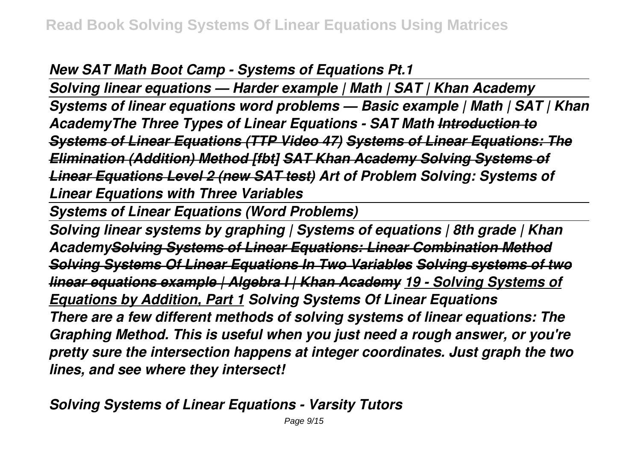*New SAT Math Boot Camp - Systems of Equations Pt.1*

*Solving linear equations — Harder example | Math | SAT | Khan Academy Systems of linear equations word problems — Basic example | Math | SAT | Khan AcademyThe Three Types of Linear Equations - SAT Math Introduction to Systems of Linear Equations (TTP Video 47) Systems of Linear Equations: The Elimination (Addition) Method [fbt] SAT Khan Academy Solving Systems of Linear Equations Level 2 (new SAT test) Art of Problem Solving: Systems of Linear Equations with Three Variables* 

*Systems of Linear Equations (Word Problems)*

*Solving linear systems by graphing | Systems of equations | 8th grade | Khan AcademySolving Systems of Linear Equations: Linear Combination Method Solving Systems Of Linear Equations In Two Variables Solving systems of two linear equations example | Algebra I | Khan Academy 19 - Solving Systems of Equations by Addition, Part 1 Solving Systems Of Linear Equations There are a few different methods of solving systems of linear equations: The Graphing Method. This is useful when you just need a rough answer, or you're pretty sure the intersection happens at integer coordinates. Just graph the two lines, and see where they intersect!*

*Solving Systems of Linear Equations - Varsity Tutors*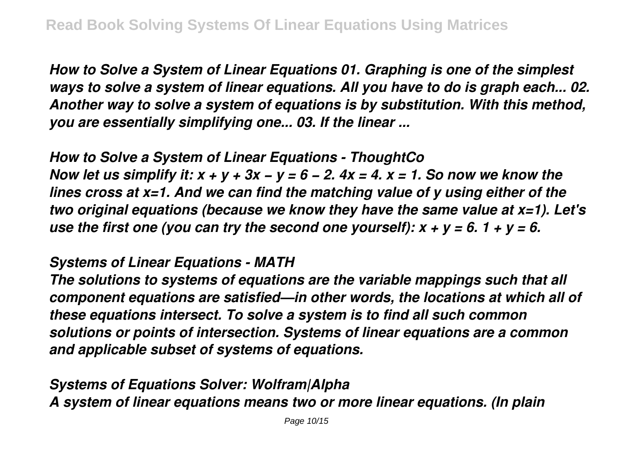*How to Solve a System of Linear Equations 01. Graphing is one of the simplest ways to solve a system of linear equations. All you have to do is graph each... 02. Another way to solve a system of equations is by substitution. With this method, you are essentially simplifying one... 03. If the linear ...*

*How to Solve a System of Linear Equations - ThoughtCo Now let us simplify it: x + y + 3x − y = 6 − 2. 4x = 4. x = 1. So now we know the lines cross at x=1. And we can find the matching value of y using either of the two original equations (because we know they have the same value at x=1). Let's use the first one (you can try the second one yourself):*  $x + y = 6$ *. 1 + y = 6.* 

#### *Systems of Linear Equations - MATH*

*The solutions to systems of equations are the variable mappings such that all component equations are satisfied—in other words, the locations at which all of these equations intersect. To solve a system is to find all such common solutions or points of intersection. Systems of linear equations are a common and applicable subset of systems of equations.*

*Systems of Equations Solver: Wolfram|Alpha A system of linear equations means two or more linear equations. (In plain*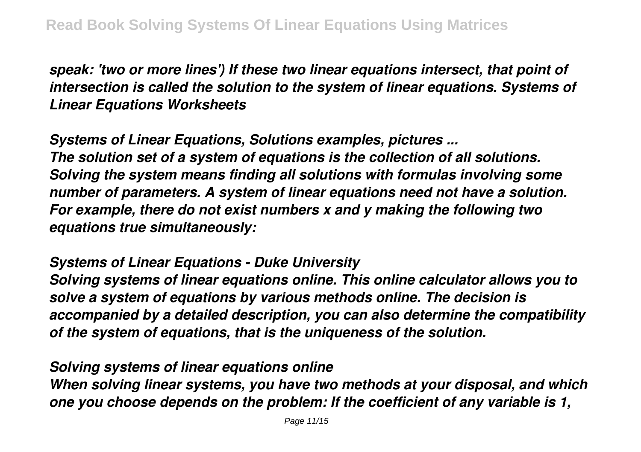*speak: 'two or more lines') If these two linear equations intersect, that point of intersection is called the solution to the system of linear equations. Systems of Linear Equations Worksheets*

*Systems of Linear Equations, Solutions examples, pictures ... The solution set of a system of equations is the collection of all solutions. Solving the system means finding all solutions with formulas involving some number of parameters. A system of linear equations need not have a solution. For example, there do not exist numbers x and y making the following two equations true simultaneously:*

#### *Systems of Linear Equations - Duke University*

*Solving systems of linear equations online. This online calculator allows you to solve a system of equations by various methods online. The decision is accompanied by a detailed description, you can also determine the compatibility of the system of equations, that is the uniqueness of the solution.*

#### *Solving systems of linear equations online*

*When solving linear systems, you have two methods at your disposal, and which one you choose depends on the problem: If the coefficient of any variable is 1,*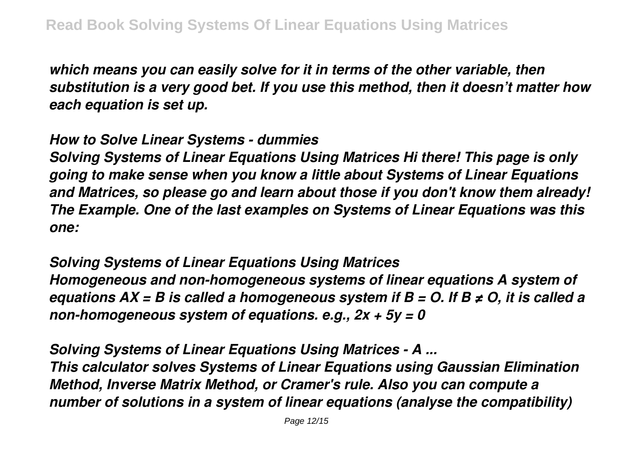*which means you can easily solve for it in terms of the other variable, then substitution is a very good bet. If you use this method, then it doesn't matter how each equation is set up.*

*How to Solve Linear Systems - dummies*

*Solving Systems of Linear Equations Using Matrices Hi there! This page is only going to make sense when you know a little about Systems of Linear Equations and Matrices, so please go and learn about those if you don't know them already! The Example. One of the last examples on Systems of Linear Equations was this one:*

*Solving Systems of Linear Equations Using Matrices Homogeneous and non-homogeneous systems of linear equations A system of equations AX = B is called a homogeneous system if B = O. If B ≠ O, it is called a non-homogeneous system of equations. e.g., 2x + 5y = 0*

*Solving Systems of Linear Equations Using Matrices - A ... This calculator solves Systems of Linear Equations using Gaussian Elimination Method, Inverse Matrix Method, or Cramer's rule. Also you can compute a number of solutions in a system of linear equations (analyse the compatibility)*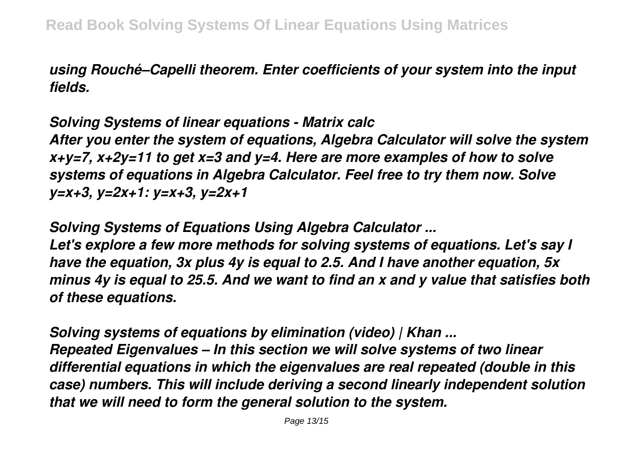*using Rouché–Capelli theorem. Enter coefficients of your system into the input fields.*

*Solving Systems of linear equations - Matrix calc*

*After you enter the system of equations, Algebra Calculator will solve the system x+y=7, x+2y=11 to get x=3 and y=4. Here are more examples of how to solve systems of equations in Algebra Calculator. Feel free to try them now. Solve y=x+3, y=2x+1: y=x+3, y=2x+1*

*Solving Systems of Equations Using Algebra Calculator ... Let's explore a few more methods for solving systems of equations. Let's say I have the equation, 3x plus 4y is equal to 2.5. And I have another equation, 5x minus 4y is equal to 25.5. And we want to find an x and y value that satisfies both*

*of these equations.*

*Solving systems of equations by elimination (video) | Khan ... Repeated Eigenvalues – In this section we will solve systems of two linear differential equations in which the eigenvalues are real repeated (double in this case) numbers. This will include deriving a second linearly independent solution that we will need to form the general solution to the system.*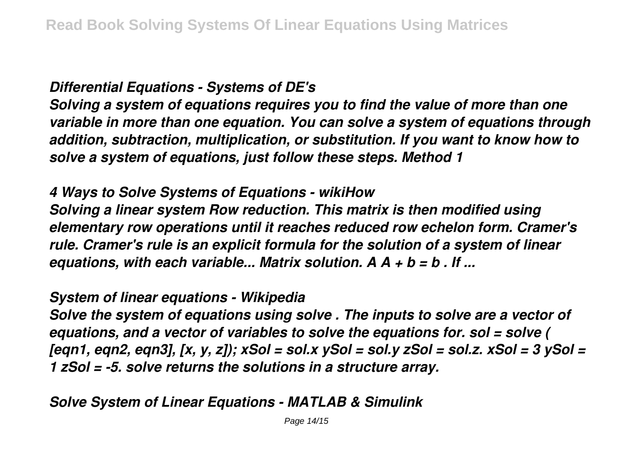## *Differential Equations - Systems of DE's*

*Solving a system of equations requires you to find the value of more than one variable in more than one equation. You can solve a system of equations through addition, subtraction, multiplication, or substitution. If you want to know how to solve a system of equations, just follow these steps. Method 1*

## *4 Ways to Solve Systems of Equations - wikiHow*

*Solving a linear system Row reduction. This matrix is then modified using elementary row operations until it reaches reduced row echelon form. Cramer's rule. Cramer's rule is an explicit formula for the solution of a system of linear equations, with each variable... Matrix solution. A A + b = b . If ...*

#### *System of linear equations - Wikipedia*

*Solve the system of equations using solve . The inputs to solve are a vector of equations, and a vector of variables to solve the equations for. sol = solve ( [eqn1, eqn2, eqn3], [x, y, z]); xSol = sol.x ySol = sol.y zSol = sol.z. xSol = 3 ySol = 1 zSol = -5. solve returns the solutions in a structure array.*

# *Solve System of Linear Equations - MATLAB & Simulink*